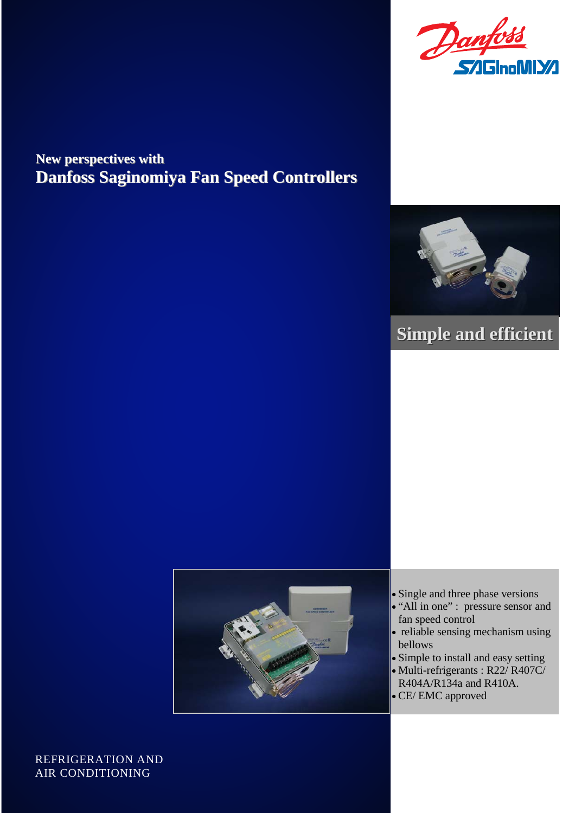

## **New perspectives with New perspectives with Danfoss Saginomiya Fan Speed Controllers Danfoss Saginomiya Fan Speed Controllers**



# **Simple and efficient Simple and efficient**



- Single and three phase versions
- "All in one" : pressure sensor and fan speed control
- reliable sensing mechanism using bellows
- Simple to install and easy setting
- Multi-refrigerants : R22/ R407C/ R404A/R134a and R410A.
- CE/ EMC approved

REFRIGERATION AND AIR CONDITIONING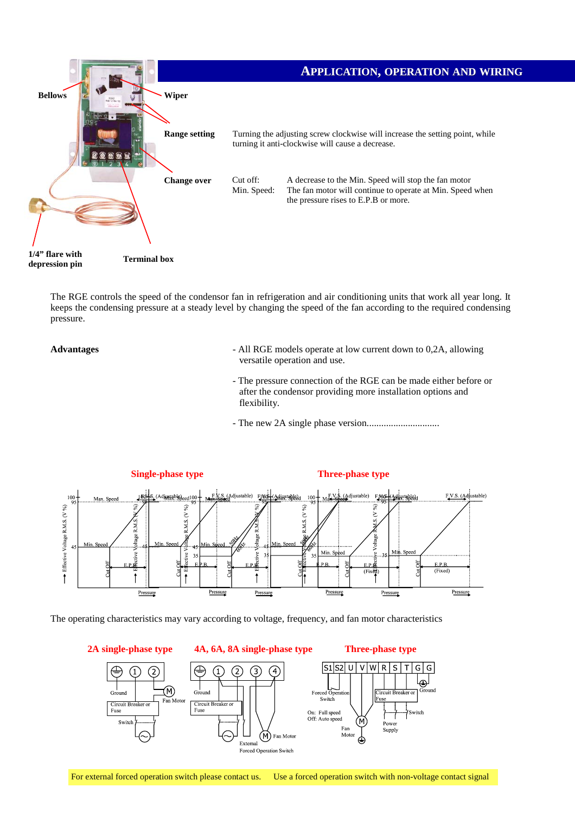

The RGE controls the speed of the condensor fan in refrigeration and air conditioning units that work all year long. It keeps the condensing pressure at a steady level by changing the speed of the fan according to the required condensing pressure.

#### **Advantages**

- All RGE models operate at low current down to 0,2A, allowing versatile operation and use.
- The pressure connection of the RGE can be made either before or after the condensor providing more installation options and flexibility.
- The new 2A single phase version..............................



The operating characteristics may vary according to voltage, frequency, and fan motor characteristics

**2A single-phase type** 



For external forced operation switch please contact us. Use a forced operation switch with non-voltage contact signal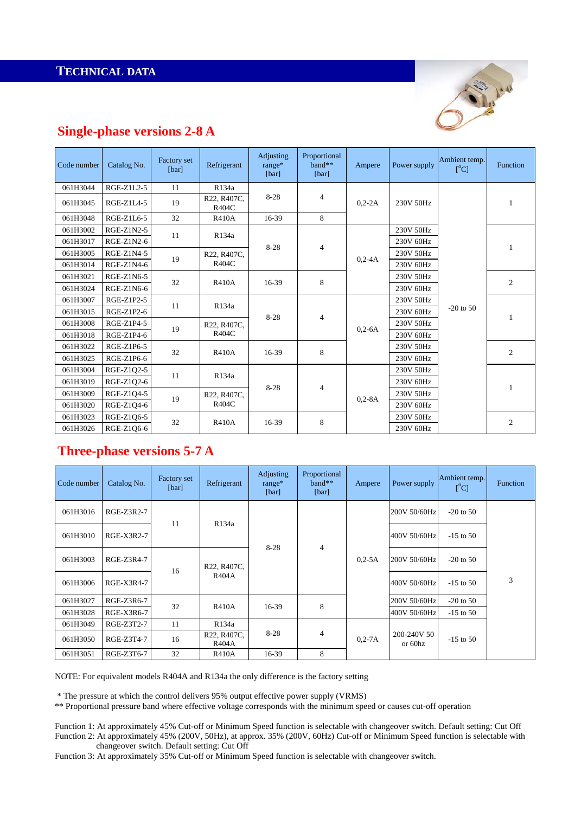**TECHNICAL DATA** 



### **Single-phase versions 2-8 A**

| Code number | Catalog No. | Factory set<br>[bar] | Refrigerant          | Adjusting<br>$range*$<br>[bar] | Proportional<br>$band**$<br>[bar] | Ampere     | Power supply | Ambient temp.<br>[°C] | <b>Function</b> |
|-------------|-------------|----------------------|----------------------|--------------------------------|-----------------------------------|------------|--------------|-----------------------|-----------------|
| 061H3044    | RGE-Z1L2-5  | 11                   | R134a                |                                |                                   |            |              |                       |                 |
| 061H3045    | RGE-Z1L4-5  | 19                   | R22, R407C,<br>R404C | $8 - 28$                       | $\overline{4}$                    | $0.2 - 2A$ | 230V 50Hz    |                       | 1               |
| 061H3048    | RGE-Z1L6-5  | 32                   | <b>R410A</b>         | 16-39                          | 8                                 |            |              |                       |                 |
| 061H3002    | RGE-Z1N2-5  | 11                   | R134a                | $8-28$                         | $\overline{4}$                    | $0.2 - 4A$ | 230V 50Hz    | $-20$ to 50           | 1               |
| 061H3017    | RGE-Z1N2-6  |                      |                      |                                |                                   |            | 230V 60Hz    |                       |                 |
| 061H3005    | RGE-Z1N4-5  | 19                   | R22, R407C,<br>R404C |                                |                                   |            | 230V 50Hz    |                       |                 |
| 061H3014    | RGE-Z1N4-6  |                      |                      |                                |                                   |            | 230V 60Hz    |                       |                 |
| 061H3021    | RGE-Z1N6-5  |                      | <b>R410A</b>         | 16-39                          | 8                                 |            | 230V 50Hz    |                       | $\overline{c}$  |
| 061H3024    | RGE-Z1N6-6  | 32                   |                      |                                |                                   |            | 230V 60Hz    |                       |                 |
| 061H3007    | RGE-Z1P2-5  | 11                   | R134a                | $8-28$                         | $\overline{4}$                    | $0.2 - 6A$ | 230V 50Hz    |                       | 1               |
| 061H3015    | RGE-Z1P2-6  |                      |                      |                                |                                   |            | 230V 60Hz    |                       |                 |
| 061H3008    | RGE-Z1P4-5  | 19                   | R22, R407C,<br>R404C |                                |                                   |            | 230V 50Hz    |                       |                 |
| 061H3018    | RGE-Z1P4-6  |                      |                      |                                |                                   |            | 230V 60Hz    |                       |                 |
| 061H3022    | RGE-Z1P6-5  | 32                   | <b>R410A</b>         | 16-39                          | 8                                 |            | 230V 50Hz    |                       | $\overline{c}$  |
| 061H3025    | RGE-Z1P6-6  |                      |                      |                                |                                   |            | 230V 60Hz    |                       |                 |
| 061H3004    | RGE-Z1Q2-5  | 11                   | R134a                | $8 - 28$                       | $\overline{4}$                    | $0.2 - 8A$ | 230V 50Hz    |                       | 1               |
| 061H3019    | RGE-Z102-6  |                      |                      |                                |                                   |            | 230V 60Hz    |                       |                 |
| 061H3009    | RGE-Z104-5  | 19                   | R22, R407C,<br>R404C |                                |                                   |            | 230V 50Hz    |                       |                 |
| 061H3020    | RGE-Z1Q4-6  |                      |                      |                                |                                   |            | 230V 60Hz    |                       |                 |
| 061H3023    | RGE-Z1Q6-5  | 32                   | <b>R410A</b>         | 16-39                          | 8                                 |            | 230V 50Hz    |                       | $\mathfrak{2}$  |
| 061H3026    | RGE-Z106-6  |                      |                      |                                |                                   |            | 230V 60Hz    |                       |                 |

## **Three-phase versions 5-7 A**

| Code number | Catalog No. | <b>Factory set</b><br>[bar] | Refrigerant                                    | Adjusting<br>$range*$<br>[bar] | Proportional<br>$band**$<br>[bar] | Ampere     | Power supply             | Ambient temp.<br>$[^{\circ}C]$ | Function |
|-------------|-------------|-----------------------------|------------------------------------------------|--------------------------------|-----------------------------------|------------|--------------------------|--------------------------------|----------|
| 061H3016    | RGE-Z3R2-7  | 11                          | R134a                                          | $8-28$                         | $\overline{4}$                    | $0.2 - 5A$ | 200V 50/60Hz             | $-20$ to 50                    | 3        |
| 061H3010    | RGE-X3R2-7  |                             |                                                |                                |                                   |            | 400V 50/60Hz             | $-15$ to 50                    |          |
| 061H3003    | RGE-Z3R4-7  | 16                          | R <sub>22</sub> , R <sub>407</sub> C,<br>R404A |                                |                                   |            | 200V 50/60Hz             | $-20$ to 50                    |          |
| 061H3006    | RGE-X3R4-7  |                             |                                                |                                |                                   |            | 400V 50/60Hz             | $-15$ to 50                    |          |
| 061H3027    | RGE-Z3R6-7  | 32                          | <b>R410A</b>                                   | 16-39                          | 8                                 |            | 200V 50/60Hz             | $-20$ to 50                    |          |
| 061H3028    | RGE-X3R6-7  |                             |                                                |                                |                                   |            | 400V 50/60Hz             | $-15$ to 50                    |          |
| 061H3049    | RGE-Z3T2-7  | 11                          | R134a                                          | $8 - 28$                       | $\overline{4}$                    | $0.2 - 7A$ | 200-240V 50<br>or $60hz$ | $-15$ to 50                    |          |
| 061H3050    | RGE-Z3T4-7  | 16                          | R22, R407C,<br>R404A                           |                                |                                   |            |                          |                                |          |
| 061H3051    | RGE-Z3T6-7  | 32                          | <b>R410A</b>                                   | 16-39                          | 8                                 |            |                          |                                |          |

NOTE: For equivalent models R404A and R134a the only difference is the factory setting

\* The pressure at which the control delivers 95% output effective power supply (VRMS)

\*\* Proportional pressure band where effective voltage corresponds with the minimum speed or causes cut-off operation

Function 1: At approximately 45% Cut-off or Minimum Speed function is selectable with changeover switch. Default setting: Cut Off Function 2: At approximately 45% (200V, 50Hz), at approx. 35% (200V, 60Hz) Cut-off or Minimum Speed function is selectable with changeover switch. Default setting: Cut Off

Function 3: At approximately 35% Cut-off or Minimum Speed function is selectable with changeover switch.